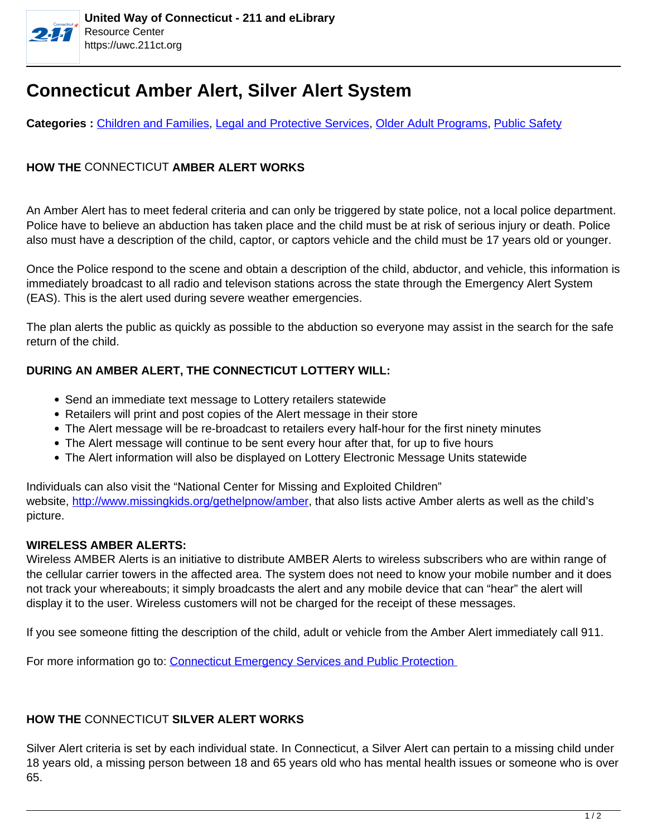

# **Connecticut Amber Alert, Silver Alert System**

**Categories :** [Children and Families,](https://uwc.211ct.org/category/children-and-families/) Legal and Protective Services, Older Adult Programs, Public Safety

## **HOW THE** CONNECTICUT **AMBER ALERT WORKS**

An Amber Alert has to meet federal criteria and can only be triggered by state police, not a local police department. Police have to believe an abduction has taken place and the child must be at risk of serious injury or death. Police also must have a description of the child, captor, or captors vehicle and the child must be 17 years old or younger.

Once the Police respond to the scene and obtain a description of the child, abductor, and vehicle, this information is immediately broadcast to all radio and televison stations across the state through the Emergency Alert System (EAS). This is the alert used during severe weather emergencies.

The plan alerts the public as quickly as possible to the abduction so everyone may assist in the search for the safe return of the child.

## **DURING AN AMBER ALERT, THE CONNECTICUT LOTTERY WILL:**

- Send an immediate text message to Lottery retailers statewide
- Retailers will print and post copies of the Alert message in their store
- The Alert message will be re-broadcast to retailers every half-hour for the first ninety minutes
- The Alert message will continue to be sent every hour after that, for up to five hours
- The Alert information will also be displayed on Lottery Electronic Message Units statewide

Individuals can also visit the "National Center for Missing and Exploited Children" website, http://www.missingkids.org/gethelpnow/amber, that also lists active Amber alerts as well as the child's picture.

### **WIRELESS AMBER ALERTS:**

Wireless AMBER Alerts is an initiative to distribute AMBER Alerts to wireless subscribers who are within range of the cellular carrier towers in the affected area. The system does not need to know your mobile number and it does not track your whereabouts; it simply broadcasts the alert and any mobile device that can "hear" the alert will display it to the user. Wireless customers will not be charged for the receipt of these messages.

If you see someone fitting the description of the child, adult or vehicle from the Amber Alert immediately call 911.

For more information go to: Connecticut Emergency Services and Public Protection

### **HOW THE** CONNECTICUT **SILVER ALERT WORKS**

Silver Alert criteria is set by each individual state. In Connecticut, a Silver Alert can pertain to a missing child under 18 years old, a missing person between 18 and 65 years old who has mental health issues or someone who is over 65.